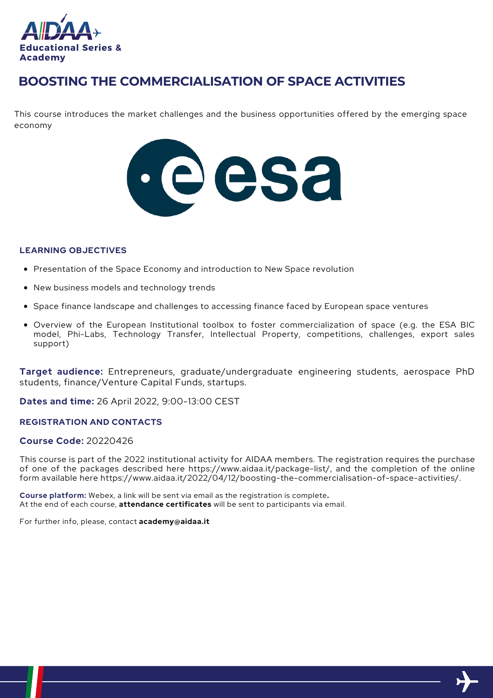

# **BOOSTING THE COMMERCIALISATION OF SPACE ACTIVITIES**

This course introduces the market challenges and the business opportunities offered by the emerging space economy



### **LEARNING OBJECTIVES**

- Presentation of the Space Economy and introduction to New Space revolution
- New business models and technology trends
- Space finance landscape and challenges to accessing finance faced by European space ventures
- Overview of the European Institutional toolbox to foster commercialization of space (e.g. the ESA BIC model, Phi-Labs, Technology Transfer, Intellectual Property, competitions, challenges, export sales support)

**Target audience:** Entrepreneurs, graduate/undergraduate engineering students, aerospace PhD students, finance/Venture Capital Funds, startups.

**Dates and time:** 26 April 2022, 9:00-13:00 CEST

## **REGISTRATION AND CONTACTS**

### **Course Code:** 20220426

This course is part of the 2022 institutional activity for AIDAA members. The registration requires the purchase of one of the packages described here https://www.aidaa.it/package-list/, and the completion of the online form available here https://www.aidaa.it/2022/04/12/boosting-the-commercialisation-of-space-activities/.

**Course platform:** Webex, a link will be sent via email as the registration is complete**.** At the end of each course, **attendance certificates** will be sent to participants via email.

For further info, please, contact **academy@aidaa.it**